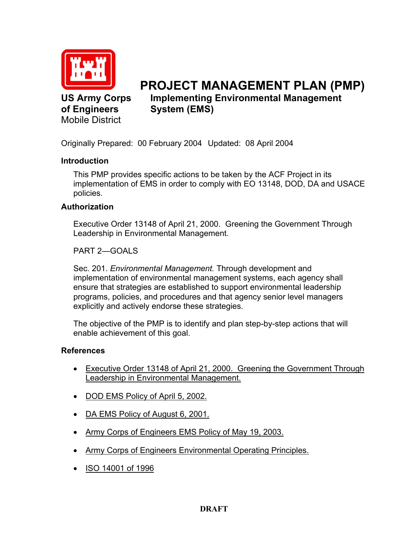

**US Army Corps of Engineers**  Mobile District

# **PROJECT MANAGEMENT PLAN (PMP) Implementing Environmental Management System (EMS)**

Originally Prepared: 00 February 2004 Updated: 08 April 2004

### **Introduction**

This PMP provides specific actions to be taken by the ACF Project in its implementation of EMS in order to comply with EO 13148, DOD, DA and USACE policies.

#### **Authorization**

Executive Order 13148 of April 21, 2000. Greening the Government Through Leadership in Environmental Management.

PART 2—GOALS

Sec. 201. *Environmental Management.* Through development and implementation of environmental management systems, each agency shall ensure that strategies are established to support environmental leadership programs, policies, and procedures and that agency senior level managers explicitly and actively endorse these strategies.

The objective of the PMP is to identify and plan step-by-step actions that will enable achievement of this goal.

#### **References**

- Executive Order 13148 of April 21, 2000. Greening the Government Through Leadership in Environmental Management.
- DOD EMS Policy of April 5, 2002.
- DA EMS Policy of August 6, 2001.
- Army Corps of Engineers EMS Policy of May 19, 2003.
- Army Corps of Engineers Environmental Operating Principles.
- ISO 14001 of 1996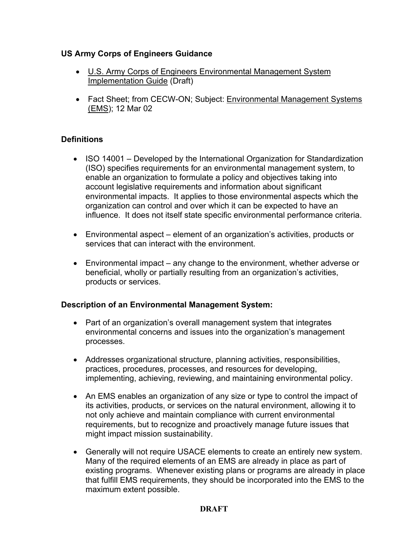### **US Army Corps of Engineers Guidance**

- U.S. Army Corps of Engineers Environmental Management System Implementation Guide (Draft)
- Fact Sheet; from CECW-ON; Subject: Environmental Management Systems (EMS); 12 Mar 02

### **Definitions**

- ISO 14001 Developed by the International Organization for Standardization (ISO) specifies requirements for an environmental management system, to enable an organization to formulate a policy and objectives taking into account legislative requirements and information about significant environmental impacts. It applies to those environmental aspects which the organization can control and over which it can be expected to have an influence. It does not itself state specific environmental performance criteria.
- Environmental aspect element of an organization's activities, products or services that can interact with the environment.
- Environmental impact any change to the environment, whether adverse or beneficial, wholly or partially resulting from an organization's activities, products or services.

#### **Description of an Environmental Management System:**

- Part of an organization's overall management system that integrates environmental concerns and issues into the organization's management processes.
- Addresses organizational structure, planning activities, responsibilities, practices, procedures, processes, and resources for developing, implementing, achieving, reviewing, and maintaining environmental policy.
- An EMS enables an organization of any size or type to control the impact of its activities, products, or services on the natural environment, allowing it to not only achieve and maintain compliance with current environmental requirements, but to recognize and proactively manage future issues that might impact mission sustainability.
- Generally will not require USACE elements to create an entirely new system. Many of the required elements of an EMS are already in place as part of existing programs. Whenever existing plans or programs are already in place that fulfill EMS requirements, they should be incorporated into the EMS to the maximum extent possible.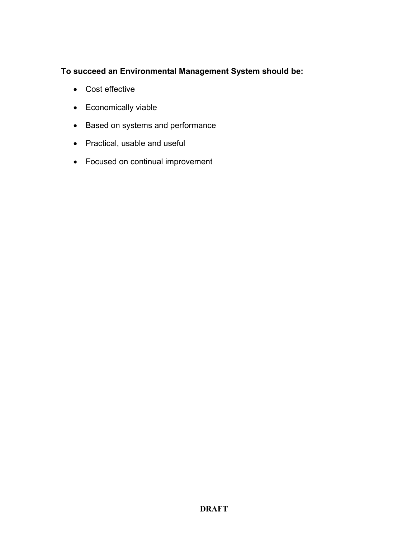### **To succeed an Environmental Management System should be:**

- Cost effective
- Economically viable
- Based on systems and performance
- Practical, usable and useful
- Focused on continual improvement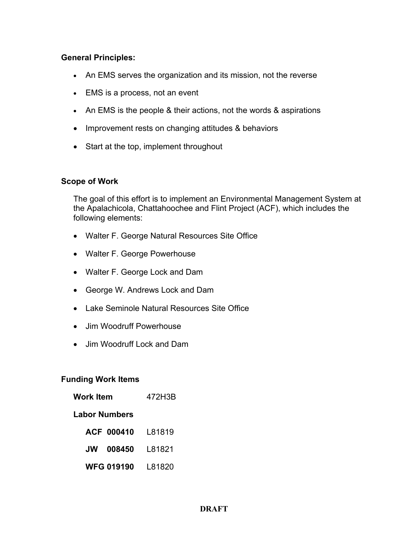### **General Principles:**

- An EMS serves the organization and its mission, not the reverse
- EMS is a process, not an event
- An EMS is the people & their actions, not the words & aspirations
- Improvement rests on changing attitudes & behaviors
- Start at the top, implement throughout

#### **Scope of Work**

The goal of this effort is to implement an Environmental Management System at the Apalachicola, Chattahoochee and Flint Project (ACF), which includes the following elements:

- Walter F. George Natural Resources Site Office
- Walter F. George Powerhouse
- Walter F. George Lock and Dam
- George W. Andrews Lock and Dam
- Lake Seminole Natural Resources Site Office
- Jim Woodruff Powerhouse
- Jim Woodruff Lock and Dam

#### **Funding Work Items**

| Work Item            | 472H3B  |  |  |  |
|----------------------|---------|--|--|--|
| <b>Labor Numbers</b> |         |  |  |  |
| <b>ACF 000410</b>    | L81819  |  |  |  |
| 008450<br>.JW        | L81821  |  |  |  |
| WFG 019190           | l 81820 |  |  |  |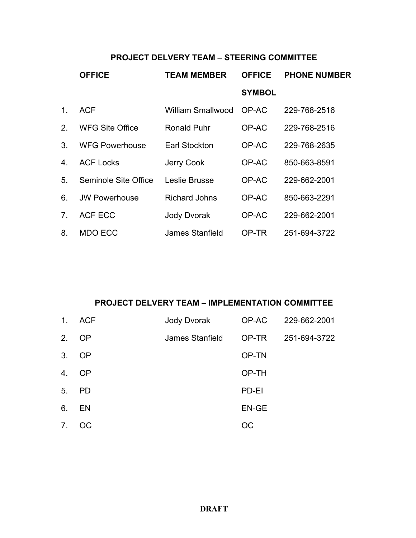# **PROJECT DELVERY TEAM – STEERING COMMITTEE**

|                | <b>OFFICE</b>          | <b>TEAM MEMBER</b>       | <b>OFFICE</b> | <b>PHONE NUMBER</b> |
|----------------|------------------------|--------------------------|---------------|---------------------|
|                |                        |                          | <b>SYMBOL</b> |                     |
| 1 <sub>1</sub> | <b>ACF</b>             | <b>William Smallwood</b> | OP-AC         | 229-768-2516        |
| 2.             | <b>WFG Site Office</b> | <b>Ronald Puhr</b>       | OP-AC         | 229-768-2516        |
| 3.             | <b>WFG Powerhouse</b>  | Earl Stockton            | OP-AC         | 229-768-2635        |
| 4.             | <b>ACF Locks</b>       | Jerry Cook               | OP-AC         | 850-663-8591        |
| 5.             | Seminole Site Office   | Leslie Brusse            | OP-AC         | 229-662-2001        |
| 6.             | <b>JW Powerhouse</b>   | <b>Richard Johns</b>     | OP-AC         | 850-663-2291        |
| 7 <sub>1</sub> | <b>ACF ECC</b>         | <b>Jody Dvorak</b>       | OP-AC         | 229-662-2001        |
| 8.             | MDO ECC                | James Stanfield          | OP-TR         | 251-694-3722        |

### **PROJECT DELVERY TEAM – IMPLEMENTATION COMMITTEE**

| 1 <sub>1</sub> | ACF       | Jody Dvorak     |       | OP-AC 229-662-2001 |
|----------------|-----------|-----------------|-------|--------------------|
| 2.             | <b>OP</b> | James Stanfield | OP-TR | 251-694-3722       |
| 3 <sub>1</sub> | OP        |                 | OP-TN |                    |
| 4.             | <b>OP</b> |                 | OP-TH |                    |
| 5 <sub>1</sub> | <b>PD</b> |                 | PD-EI |                    |
| 6.             | EN        |                 | EN-GE |                    |
| 7 <sub>1</sub> | OC.       |                 | OС    |                    |